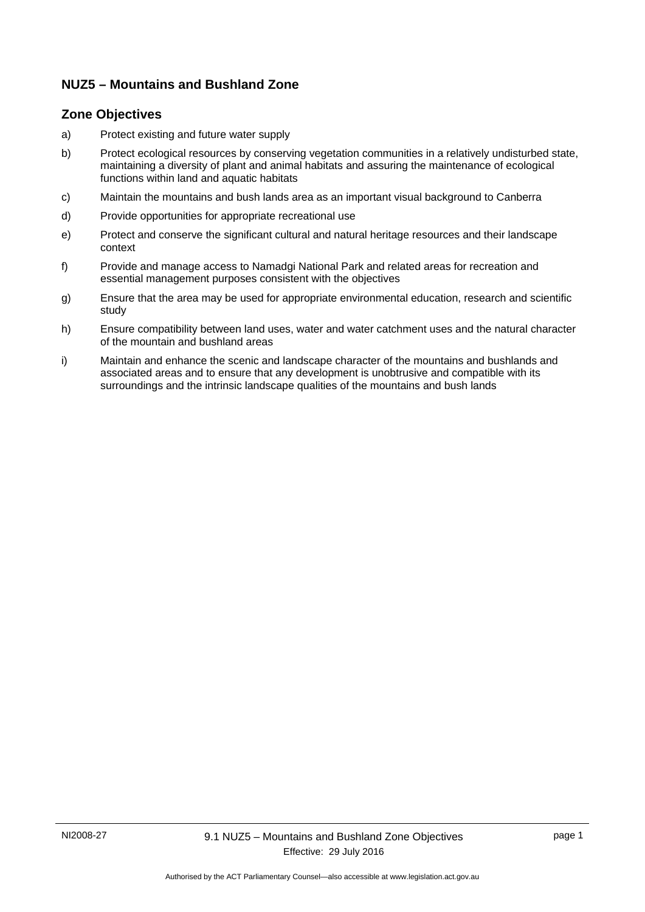### **NUZ5 – Mountains and Bushland Zone**

#### **Zone Objectives**

- a) Protect existing and future water supply
- b) Protect ecological resources by conserving vegetation communities in a relatively undisturbed state, maintaining a diversity of plant and animal habitats and assuring the maintenance of ecological functions within land and aquatic habitats
- c) Maintain the mountains and bush lands area as an important visual background to Canberra
- d) Provide opportunities for appropriate recreational use
- e) Protect and conserve the significant cultural and natural heritage resources and their landscape context
- f) Provide and manage access to Namadgi National Park and related areas for recreation and essential management purposes consistent with the objectives
- g) Ensure that the area may be used for appropriate environmental education, research and scientific study
- h) Ensure compatibility between land uses, water and water catchment uses and the natural character of the mountain and bushland areas
- i) Maintain and enhance the scenic and landscape character of the mountains and bushlands and associated areas and to ensure that any development is unobtrusive and compatible with its surroundings and the intrinsic landscape qualities of the mountains and bush lands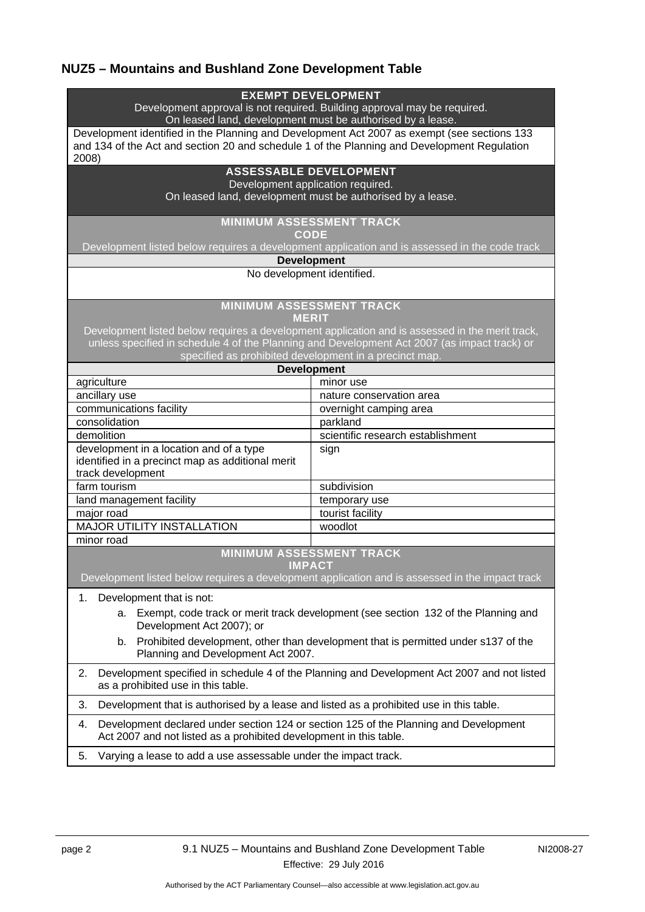# **NUZ5 – Mountains and Bushland Zone Development Table**

| Development approval is not required. Building approval may be required.<br>On leased land, development must be authorised by a lease.<br>Development identified in the Planning and Development Act 2007 as exempt (see sections 133<br>and 134 of the Act and section 20 and schedule 1 of the Planning and Development Regulation<br>2008)<br><b>ASSESSABLE DEVELOPMENT</b><br>Development application required.<br>On leased land, development must be authorised by a lease.<br><b>MINIMUM ASSESSMENT TRACK</b><br><b>CODE</b><br>Development listed below requires a development application and is assessed in the code track<br><b>Development</b><br>No development identified.<br><b>MINIMUM ASSESSMENT TRACK</b><br><b>MERIT</b><br>Development listed below requires a development application and is assessed in the merit track,<br>unless specified in schedule 4 of the Planning and Development Act 2007 (as impact track) or<br>specified as prohibited development in a precinct map.<br><b>Development</b><br>agriculture<br>minor use<br>ancillary use<br>nature conservation area<br>communications facility<br>overnight camping area<br>consolidation<br>parkland<br>scientific research establishment<br>demolition<br>development in a location and of a type<br>sign<br>identified in a precinct map as additional merit<br>track development<br>farm tourism<br>subdivision<br>land management facility<br>temporary use<br>major road<br>tourist facility<br><b>MAJOR UTILITY INSTALLATION</b><br>woodlot<br>minor road<br><b>MINIMUM ASSESSMENT TRACK</b><br><b>IMPACT</b><br>Development listed below requires a development application and is assessed in the impact track<br>1.<br>Development that is not:<br>a. Exempt, code track or merit track development (see section 132 of the Planning and<br>Development Act 2007); or<br>b. Prohibited development, other than development that is permitted under s137 of the<br>Planning and Development Act 2007.<br>2.<br>Development specified in schedule 4 of the Planning and Development Act 2007 and not listed<br>as a prohibited use in this table.<br>Development that is authorised by a lease and listed as a prohibited use in this table.<br>3.<br>Development declared under section 124 or section 125 of the Planning and Development<br>4.<br>Act 2007 and not listed as a prohibited development in this table.<br>Varying a lease to add a use assessable under the impact track. |    | <b>EXEMPT DEVELOPMENT</b> |  |
|----------------------------------------------------------------------------------------------------------------------------------------------------------------------------------------------------------------------------------------------------------------------------------------------------------------------------------------------------------------------------------------------------------------------------------------------------------------------------------------------------------------------------------------------------------------------------------------------------------------------------------------------------------------------------------------------------------------------------------------------------------------------------------------------------------------------------------------------------------------------------------------------------------------------------------------------------------------------------------------------------------------------------------------------------------------------------------------------------------------------------------------------------------------------------------------------------------------------------------------------------------------------------------------------------------------------------------------------------------------------------------------------------------------------------------------------------------------------------------------------------------------------------------------------------------------------------------------------------------------------------------------------------------------------------------------------------------------------------------------------------------------------------------------------------------------------------------------------------------------------------------------------------------------------------------------------------------------------------------------------------------------------------------------------------------------------------------------------------------------------------------------------------------------------------------------------------------------------------------------------------------------------------------------------------------------------------------------------------------------------------------------------------------------------------------------------------------------------------------------|----|---------------------------|--|
|                                                                                                                                                                                                                                                                                                                                                                                                                                                                                                                                                                                                                                                                                                                                                                                                                                                                                                                                                                                                                                                                                                                                                                                                                                                                                                                                                                                                                                                                                                                                                                                                                                                                                                                                                                                                                                                                                                                                                                                                                                                                                                                                                                                                                                                                                                                                                                                                                                                                                        |    |                           |  |
|                                                                                                                                                                                                                                                                                                                                                                                                                                                                                                                                                                                                                                                                                                                                                                                                                                                                                                                                                                                                                                                                                                                                                                                                                                                                                                                                                                                                                                                                                                                                                                                                                                                                                                                                                                                                                                                                                                                                                                                                                                                                                                                                                                                                                                                                                                                                                                                                                                                                                        |    |                           |  |
|                                                                                                                                                                                                                                                                                                                                                                                                                                                                                                                                                                                                                                                                                                                                                                                                                                                                                                                                                                                                                                                                                                                                                                                                                                                                                                                                                                                                                                                                                                                                                                                                                                                                                                                                                                                                                                                                                                                                                                                                                                                                                                                                                                                                                                                                                                                                                                                                                                                                                        |    |                           |  |
|                                                                                                                                                                                                                                                                                                                                                                                                                                                                                                                                                                                                                                                                                                                                                                                                                                                                                                                                                                                                                                                                                                                                                                                                                                                                                                                                                                                                                                                                                                                                                                                                                                                                                                                                                                                                                                                                                                                                                                                                                                                                                                                                                                                                                                                                                                                                                                                                                                                                                        |    |                           |  |
|                                                                                                                                                                                                                                                                                                                                                                                                                                                                                                                                                                                                                                                                                                                                                                                                                                                                                                                                                                                                                                                                                                                                                                                                                                                                                                                                                                                                                                                                                                                                                                                                                                                                                                                                                                                                                                                                                                                                                                                                                                                                                                                                                                                                                                                                                                                                                                                                                                                                                        |    |                           |  |
|                                                                                                                                                                                                                                                                                                                                                                                                                                                                                                                                                                                                                                                                                                                                                                                                                                                                                                                                                                                                                                                                                                                                                                                                                                                                                                                                                                                                                                                                                                                                                                                                                                                                                                                                                                                                                                                                                                                                                                                                                                                                                                                                                                                                                                                                                                                                                                                                                                                                                        |    |                           |  |
|                                                                                                                                                                                                                                                                                                                                                                                                                                                                                                                                                                                                                                                                                                                                                                                                                                                                                                                                                                                                                                                                                                                                                                                                                                                                                                                                                                                                                                                                                                                                                                                                                                                                                                                                                                                                                                                                                                                                                                                                                                                                                                                                                                                                                                                                                                                                                                                                                                                                                        |    |                           |  |
|                                                                                                                                                                                                                                                                                                                                                                                                                                                                                                                                                                                                                                                                                                                                                                                                                                                                                                                                                                                                                                                                                                                                                                                                                                                                                                                                                                                                                                                                                                                                                                                                                                                                                                                                                                                                                                                                                                                                                                                                                                                                                                                                                                                                                                                                                                                                                                                                                                                                                        |    |                           |  |
|                                                                                                                                                                                                                                                                                                                                                                                                                                                                                                                                                                                                                                                                                                                                                                                                                                                                                                                                                                                                                                                                                                                                                                                                                                                                                                                                                                                                                                                                                                                                                                                                                                                                                                                                                                                                                                                                                                                                                                                                                                                                                                                                                                                                                                                                                                                                                                                                                                                                                        |    |                           |  |
|                                                                                                                                                                                                                                                                                                                                                                                                                                                                                                                                                                                                                                                                                                                                                                                                                                                                                                                                                                                                                                                                                                                                                                                                                                                                                                                                                                                                                                                                                                                                                                                                                                                                                                                                                                                                                                                                                                                                                                                                                                                                                                                                                                                                                                                                                                                                                                                                                                                                                        |    |                           |  |
|                                                                                                                                                                                                                                                                                                                                                                                                                                                                                                                                                                                                                                                                                                                                                                                                                                                                                                                                                                                                                                                                                                                                                                                                                                                                                                                                                                                                                                                                                                                                                                                                                                                                                                                                                                                                                                                                                                                                                                                                                                                                                                                                                                                                                                                                                                                                                                                                                                                                                        |    |                           |  |
|                                                                                                                                                                                                                                                                                                                                                                                                                                                                                                                                                                                                                                                                                                                                                                                                                                                                                                                                                                                                                                                                                                                                                                                                                                                                                                                                                                                                                                                                                                                                                                                                                                                                                                                                                                                                                                                                                                                                                                                                                                                                                                                                                                                                                                                                                                                                                                                                                                                                                        |    |                           |  |
|                                                                                                                                                                                                                                                                                                                                                                                                                                                                                                                                                                                                                                                                                                                                                                                                                                                                                                                                                                                                                                                                                                                                                                                                                                                                                                                                                                                                                                                                                                                                                                                                                                                                                                                                                                                                                                                                                                                                                                                                                                                                                                                                                                                                                                                                                                                                                                                                                                                                                        |    |                           |  |
|                                                                                                                                                                                                                                                                                                                                                                                                                                                                                                                                                                                                                                                                                                                                                                                                                                                                                                                                                                                                                                                                                                                                                                                                                                                                                                                                                                                                                                                                                                                                                                                                                                                                                                                                                                                                                                                                                                                                                                                                                                                                                                                                                                                                                                                                                                                                                                                                                                                                                        |    |                           |  |
|                                                                                                                                                                                                                                                                                                                                                                                                                                                                                                                                                                                                                                                                                                                                                                                                                                                                                                                                                                                                                                                                                                                                                                                                                                                                                                                                                                                                                                                                                                                                                                                                                                                                                                                                                                                                                                                                                                                                                                                                                                                                                                                                                                                                                                                                                                                                                                                                                                                                                        |    |                           |  |
|                                                                                                                                                                                                                                                                                                                                                                                                                                                                                                                                                                                                                                                                                                                                                                                                                                                                                                                                                                                                                                                                                                                                                                                                                                                                                                                                                                                                                                                                                                                                                                                                                                                                                                                                                                                                                                                                                                                                                                                                                                                                                                                                                                                                                                                                                                                                                                                                                                                                                        |    |                           |  |
|                                                                                                                                                                                                                                                                                                                                                                                                                                                                                                                                                                                                                                                                                                                                                                                                                                                                                                                                                                                                                                                                                                                                                                                                                                                                                                                                                                                                                                                                                                                                                                                                                                                                                                                                                                                                                                                                                                                                                                                                                                                                                                                                                                                                                                                                                                                                                                                                                                                                                        |    |                           |  |
|                                                                                                                                                                                                                                                                                                                                                                                                                                                                                                                                                                                                                                                                                                                                                                                                                                                                                                                                                                                                                                                                                                                                                                                                                                                                                                                                                                                                                                                                                                                                                                                                                                                                                                                                                                                                                                                                                                                                                                                                                                                                                                                                                                                                                                                                                                                                                                                                                                                                                        |    |                           |  |
|                                                                                                                                                                                                                                                                                                                                                                                                                                                                                                                                                                                                                                                                                                                                                                                                                                                                                                                                                                                                                                                                                                                                                                                                                                                                                                                                                                                                                                                                                                                                                                                                                                                                                                                                                                                                                                                                                                                                                                                                                                                                                                                                                                                                                                                                                                                                                                                                                                                                                        |    |                           |  |
|                                                                                                                                                                                                                                                                                                                                                                                                                                                                                                                                                                                                                                                                                                                                                                                                                                                                                                                                                                                                                                                                                                                                                                                                                                                                                                                                                                                                                                                                                                                                                                                                                                                                                                                                                                                                                                                                                                                                                                                                                                                                                                                                                                                                                                                                                                                                                                                                                                                                                        |    |                           |  |
|                                                                                                                                                                                                                                                                                                                                                                                                                                                                                                                                                                                                                                                                                                                                                                                                                                                                                                                                                                                                                                                                                                                                                                                                                                                                                                                                                                                                                                                                                                                                                                                                                                                                                                                                                                                                                                                                                                                                                                                                                                                                                                                                                                                                                                                                                                                                                                                                                                                                                        |    |                           |  |
|                                                                                                                                                                                                                                                                                                                                                                                                                                                                                                                                                                                                                                                                                                                                                                                                                                                                                                                                                                                                                                                                                                                                                                                                                                                                                                                                                                                                                                                                                                                                                                                                                                                                                                                                                                                                                                                                                                                                                                                                                                                                                                                                                                                                                                                                                                                                                                                                                                                                                        |    |                           |  |
|                                                                                                                                                                                                                                                                                                                                                                                                                                                                                                                                                                                                                                                                                                                                                                                                                                                                                                                                                                                                                                                                                                                                                                                                                                                                                                                                                                                                                                                                                                                                                                                                                                                                                                                                                                                                                                                                                                                                                                                                                                                                                                                                                                                                                                                                                                                                                                                                                                                                                        |    |                           |  |
|                                                                                                                                                                                                                                                                                                                                                                                                                                                                                                                                                                                                                                                                                                                                                                                                                                                                                                                                                                                                                                                                                                                                                                                                                                                                                                                                                                                                                                                                                                                                                                                                                                                                                                                                                                                                                                                                                                                                                                                                                                                                                                                                                                                                                                                                                                                                                                                                                                                                                        |    |                           |  |
|                                                                                                                                                                                                                                                                                                                                                                                                                                                                                                                                                                                                                                                                                                                                                                                                                                                                                                                                                                                                                                                                                                                                                                                                                                                                                                                                                                                                                                                                                                                                                                                                                                                                                                                                                                                                                                                                                                                                                                                                                                                                                                                                                                                                                                                                                                                                                                                                                                                                                        |    |                           |  |
|                                                                                                                                                                                                                                                                                                                                                                                                                                                                                                                                                                                                                                                                                                                                                                                                                                                                                                                                                                                                                                                                                                                                                                                                                                                                                                                                                                                                                                                                                                                                                                                                                                                                                                                                                                                                                                                                                                                                                                                                                                                                                                                                                                                                                                                                                                                                                                                                                                                                                        |    |                           |  |
|                                                                                                                                                                                                                                                                                                                                                                                                                                                                                                                                                                                                                                                                                                                                                                                                                                                                                                                                                                                                                                                                                                                                                                                                                                                                                                                                                                                                                                                                                                                                                                                                                                                                                                                                                                                                                                                                                                                                                                                                                                                                                                                                                                                                                                                                                                                                                                                                                                                                                        |    |                           |  |
|                                                                                                                                                                                                                                                                                                                                                                                                                                                                                                                                                                                                                                                                                                                                                                                                                                                                                                                                                                                                                                                                                                                                                                                                                                                                                                                                                                                                                                                                                                                                                                                                                                                                                                                                                                                                                                                                                                                                                                                                                                                                                                                                                                                                                                                                                                                                                                                                                                                                                        |    |                           |  |
|                                                                                                                                                                                                                                                                                                                                                                                                                                                                                                                                                                                                                                                                                                                                                                                                                                                                                                                                                                                                                                                                                                                                                                                                                                                                                                                                                                                                                                                                                                                                                                                                                                                                                                                                                                                                                                                                                                                                                                                                                                                                                                                                                                                                                                                                                                                                                                                                                                                                                        |    |                           |  |
|                                                                                                                                                                                                                                                                                                                                                                                                                                                                                                                                                                                                                                                                                                                                                                                                                                                                                                                                                                                                                                                                                                                                                                                                                                                                                                                                                                                                                                                                                                                                                                                                                                                                                                                                                                                                                                                                                                                                                                                                                                                                                                                                                                                                                                                                                                                                                                                                                                                                                        |    |                           |  |
|                                                                                                                                                                                                                                                                                                                                                                                                                                                                                                                                                                                                                                                                                                                                                                                                                                                                                                                                                                                                                                                                                                                                                                                                                                                                                                                                                                                                                                                                                                                                                                                                                                                                                                                                                                                                                                                                                                                                                                                                                                                                                                                                                                                                                                                                                                                                                                                                                                                                                        |    |                           |  |
|                                                                                                                                                                                                                                                                                                                                                                                                                                                                                                                                                                                                                                                                                                                                                                                                                                                                                                                                                                                                                                                                                                                                                                                                                                                                                                                                                                                                                                                                                                                                                                                                                                                                                                                                                                                                                                                                                                                                                                                                                                                                                                                                                                                                                                                                                                                                                                                                                                                                                        |    |                           |  |
|                                                                                                                                                                                                                                                                                                                                                                                                                                                                                                                                                                                                                                                                                                                                                                                                                                                                                                                                                                                                                                                                                                                                                                                                                                                                                                                                                                                                                                                                                                                                                                                                                                                                                                                                                                                                                                                                                                                                                                                                                                                                                                                                                                                                                                                                                                                                                                                                                                                                                        |    |                           |  |
|                                                                                                                                                                                                                                                                                                                                                                                                                                                                                                                                                                                                                                                                                                                                                                                                                                                                                                                                                                                                                                                                                                                                                                                                                                                                                                                                                                                                                                                                                                                                                                                                                                                                                                                                                                                                                                                                                                                                                                                                                                                                                                                                                                                                                                                                                                                                                                                                                                                                                        |    |                           |  |
|                                                                                                                                                                                                                                                                                                                                                                                                                                                                                                                                                                                                                                                                                                                                                                                                                                                                                                                                                                                                                                                                                                                                                                                                                                                                                                                                                                                                                                                                                                                                                                                                                                                                                                                                                                                                                                                                                                                                                                                                                                                                                                                                                                                                                                                                                                                                                                                                                                                                                        |    |                           |  |
|                                                                                                                                                                                                                                                                                                                                                                                                                                                                                                                                                                                                                                                                                                                                                                                                                                                                                                                                                                                                                                                                                                                                                                                                                                                                                                                                                                                                                                                                                                                                                                                                                                                                                                                                                                                                                                                                                                                                                                                                                                                                                                                                                                                                                                                                                                                                                                                                                                                                                        |    |                           |  |
|                                                                                                                                                                                                                                                                                                                                                                                                                                                                                                                                                                                                                                                                                                                                                                                                                                                                                                                                                                                                                                                                                                                                                                                                                                                                                                                                                                                                                                                                                                                                                                                                                                                                                                                                                                                                                                                                                                                                                                                                                                                                                                                                                                                                                                                                                                                                                                                                                                                                                        |    |                           |  |
|                                                                                                                                                                                                                                                                                                                                                                                                                                                                                                                                                                                                                                                                                                                                                                                                                                                                                                                                                                                                                                                                                                                                                                                                                                                                                                                                                                                                                                                                                                                                                                                                                                                                                                                                                                                                                                                                                                                                                                                                                                                                                                                                                                                                                                                                                                                                                                                                                                                                                        |    |                           |  |
|                                                                                                                                                                                                                                                                                                                                                                                                                                                                                                                                                                                                                                                                                                                                                                                                                                                                                                                                                                                                                                                                                                                                                                                                                                                                                                                                                                                                                                                                                                                                                                                                                                                                                                                                                                                                                                                                                                                                                                                                                                                                                                                                                                                                                                                                                                                                                                                                                                                                                        |    |                           |  |
|                                                                                                                                                                                                                                                                                                                                                                                                                                                                                                                                                                                                                                                                                                                                                                                                                                                                                                                                                                                                                                                                                                                                                                                                                                                                                                                                                                                                                                                                                                                                                                                                                                                                                                                                                                                                                                                                                                                                                                                                                                                                                                                                                                                                                                                                                                                                                                                                                                                                                        | 5. |                           |  |